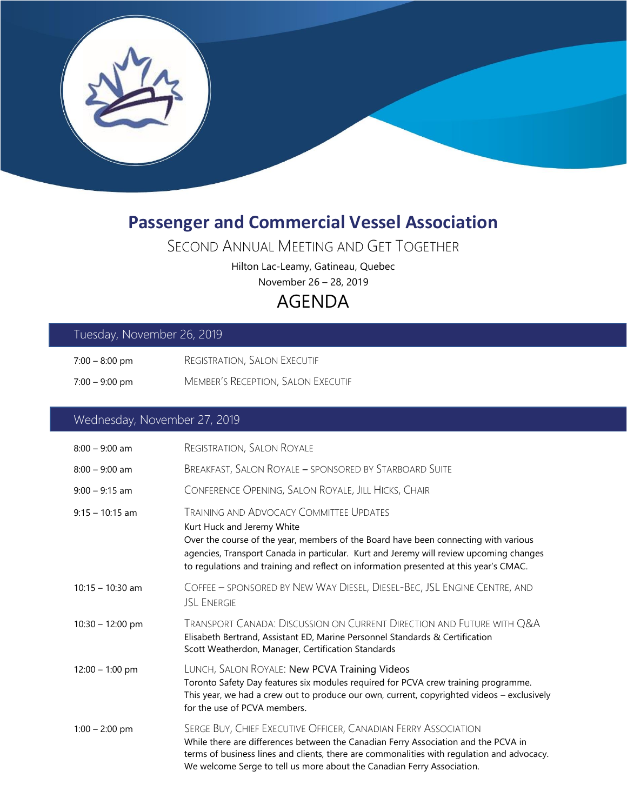

# **Passenger and Commercial Vessel Association**

## SECOND ANNUAL MEETING AND GET TOGETHER

Hilton Lac-Leamy, Gatineau, Quebec

November 26 – 28, 2019

# AGENDA

#### Tuesday, November 26, 2019

- 7:00 8:00 pm REGISTRATION, SALON EXECUTIF
- 7:00 9:00 pm MEMBER'S RECEPTION, SALON EXECUTIF

### Wednesday, November 27, 2019

| $8:00 - 9:00$ am   | <b>REGISTRATION, SALON ROYALE</b>                                                                                                                                                                                                                                                                                                                      |
|--------------------|--------------------------------------------------------------------------------------------------------------------------------------------------------------------------------------------------------------------------------------------------------------------------------------------------------------------------------------------------------|
| $8:00 - 9:00$ am   | BREAKFAST, SALON ROYALE - SPONSORED BY STARBOARD SUITE                                                                                                                                                                                                                                                                                                 |
| $9:00 - 9:15$ am   | CONFERENCE OPENING, SALON ROYALE, JILL HICKS, CHAIR                                                                                                                                                                                                                                                                                                    |
| $9:15 - 10:15$ am  | <b>TRAINING AND ADVOCACY COMMITTEE UPDATES</b><br>Kurt Huck and Jeremy White<br>Over the course of the year, members of the Board have been connecting with various<br>agencies, Transport Canada in particular. Kurt and Jeremy will review upcoming changes<br>to regulations and training and reflect on information presented at this year's CMAC. |
| $10:15 - 10:30$ am | COFFEE - SPONSORED BY NEW WAY DIESEL, DIESEL-BEC, JSL ENGINE CENTRE, AND<br><b>JSL ENERGIE</b>                                                                                                                                                                                                                                                         |
| $10:30 - 12:00$ pm | TRANSPORT CANADA: DISCUSSION ON CURRENT DIRECTION AND FUTURE WITH Q&A<br>Elisabeth Bertrand, Assistant ED, Marine Personnel Standards & Certification<br>Scott Weatherdon, Manager, Certification Standards                                                                                                                                            |
| $12:00 - 1:00$ pm  | LUNCH, SALON ROYALE: New PCVA Training Videos<br>Toronto Safety Day features six modules required for PCVA crew training programme.<br>This year, we had a crew out to produce our own, current, copyrighted videos - exclusively<br>for the use of PCVA members.                                                                                      |
| $1:00 - 2:00$ pm   | SERGE BUY, CHIEF EXECUTIVE OFFICER, CANADIAN FERRY ASSOCIATION<br>While there are differences between the Canadian Ferry Association and the PCVA in<br>terms of business lines and clients, there are commonalities with regulation and advocacy.<br>We welcome Serge to tell us more about the Canadian Ferry Association.                           |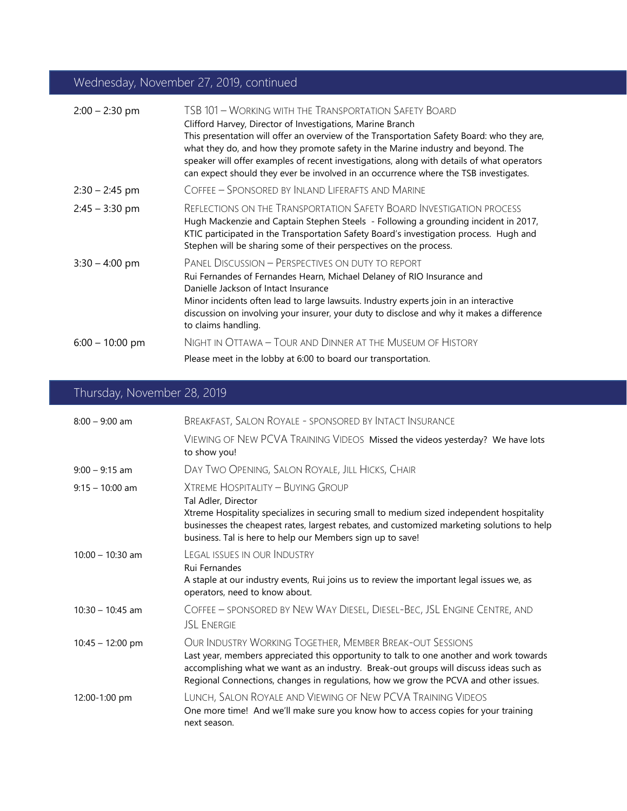### Wednesday, November 27, 2019, continued

| $2:00 - 2:30$ pm  | TSB 101 - Working with the Transportation Safety Board<br>Clifford Harvey, Director of Investigations, Marine Branch<br>This presentation will offer an overview of the Transportation Safety Board: who they are,<br>what they do, and how they promote safety in the Marine industry and beyond. The<br>speaker will offer examples of recent investigations, along with details of what operators<br>can expect should they ever be involved in an occurrence where the TSB investigates. |
|-------------------|----------------------------------------------------------------------------------------------------------------------------------------------------------------------------------------------------------------------------------------------------------------------------------------------------------------------------------------------------------------------------------------------------------------------------------------------------------------------------------------------|
| $2:30 - 2:45$ pm  | COFFEE - SPONSORED BY INLAND LIFERAFTS AND MARINE                                                                                                                                                                                                                                                                                                                                                                                                                                            |
| $2:45 - 3:30$ pm  | <b>REFLECTIONS ON THE TRANSPORTATION SAFETY BOARD INVESTIGATION PROCESS</b><br>Hugh Mackenzie and Captain Stephen Steels - Following a grounding incident in 2017,<br>KTIC participated in the Transportation Safety Board's investigation process. Hugh and<br>Stephen will be sharing some of their perspectives on the process.                                                                                                                                                           |
| $3:30 - 4:00$ pm  | PANEL DISCUSSION - PERSPECTIVES ON DUTY TO REPORT<br>Rui Fernandes of Fernandes Hearn, Michael Delaney of RIO Insurance and<br>Danielle Jackson of Intact Insurance<br>Minor incidents often lead to large lawsuits. Industry experts join in an interactive<br>discussion on involving your insurer, your duty to disclose and why it makes a difference<br>to claims handling.                                                                                                             |
| $6:00 - 10:00$ pm | NIGHT IN OTTAWA - TOUR AND DINNER AT THE MUSEUM OF HISTORY                                                                                                                                                                                                                                                                                                                                                                                                                                   |
|                   | Please meet in the lobby at 6:00 to board our transportation.                                                                                                                                                                                                                                                                                                                                                                                                                                |

## Thursday, November 28, 2019

| $8:00 - 9:00$ am           | <b>BREAKFAST, SALON ROYALE - SPONSORED BY INTACT INSURANCE</b>                                                                                                                                                                                                                                                                        |
|----------------------------|---------------------------------------------------------------------------------------------------------------------------------------------------------------------------------------------------------------------------------------------------------------------------------------------------------------------------------------|
|                            | VIEWING OF NEW PCVA TRAINING VIDEOS Missed the videos yesterday? We have lots<br>to show you!                                                                                                                                                                                                                                         |
| $9:00 - 9:15$ am           | DAY TWO OPENING, SALON ROYALE, JILL HICKS, CHAIR                                                                                                                                                                                                                                                                                      |
| $9:15 - 10:00$ am          | XTREME HOSPITALITY - BUYING GROUP<br>Tal Adler, Director<br>Xtreme Hospitality specializes in securing small to medium sized independent hospitality<br>businesses the cheapest rates, largest rebates, and customized marketing solutions to help<br>business. Tal is here to help our Members sign up to save!                      |
| $10:00 - 10:30$ am         | LEGAL ISSUES IN OUR INDUSTRY<br>Rui Fernandes<br>A staple at our industry events, Rui joins us to review the important legal issues we, as<br>operators, need to know about.                                                                                                                                                          |
| $10:30 - 10:45$ am         | COFFEE - SPONSORED BY NEW WAY DIESEL, DIESEL-BEC, JSL ENGINE CENTRE, AND<br><b>JSL ENERGIE</b>                                                                                                                                                                                                                                        |
| $10:45 - 12:00 \text{ pm}$ | OUR INDUSTRY WORKING TOGETHER, MEMBER BREAK-OUT SESSIONS<br>Last year, members appreciated this opportunity to talk to one another and work towards<br>accomplishing what we want as an industry. Break-out groups will discuss ideas such as<br>Regional Connections, changes in regulations, how we grow the PCVA and other issues. |
| 12:00-1:00 pm              | LUNCH, SALON ROYALE AND VIEWING OF NEW PCVA TRAINING VIDEOS<br>One more time! And we'll make sure you know how to access copies for your training<br>next season.                                                                                                                                                                     |